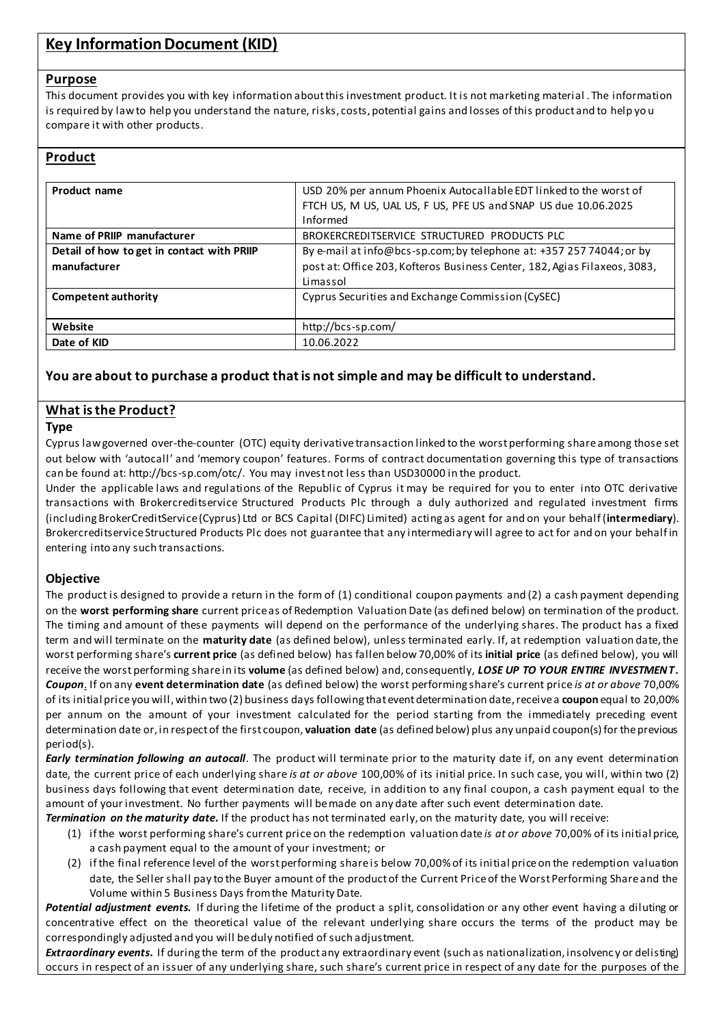# **Key Information Document (KID)**

### **Purpose**

This document provides you with key information about this investment product. It is not marketing material . The information is required by law to help you understand the nature, risks, costs, potential gains and losses of this product and to help yo u compare it with other products.

# **Product**

| Product name                               | USD 20% per annum Phoenix Autocallable EDT linked to the worst of<br>FTCH US, M US, UAL US, F US, PFE US and SNAP US due 10.06.2025<br>Informed |
|--------------------------------------------|-------------------------------------------------------------------------------------------------------------------------------------------------|
| Name of PRIIP manufacturer                 | BROKERCREDITSERVICE STRUCTURED PRODUCTS PLC                                                                                                     |
| Detail of how to get in contact with PRIIP | By e-mail at info@bcs-sp.com; by telephone at: +357 257 74044; or by                                                                            |
| manufacturer                               | post at: Office 203, Kofteros Business Center, 182, Agias Filaxeos, 3083,                                                                       |
|                                            | Limassol                                                                                                                                        |
| Competent authority                        | Cyprus Securities and Exchange Commission (CySEC)                                                                                               |
|                                            |                                                                                                                                                 |
| Website                                    | http://bcs-sp.com/                                                                                                                              |
| Date of KID                                | 10.06.2022                                                                                                                                      |

# **You are about to purchase a product that is not simple and may be difficult to understand.**

# **What is the Product?**

### **Type**

Cyprus law governed over-the-counter (OTC) equity derivative transaction linked to the worst performing share among those set out below with 'autocall' and 'memory coupon' features. Forms of contract documentation governing this type of transactions can be found at: http://bcs-sp.com/otc/. You may invest not less than USD30000 in the product.

Under the applicable laws and regulations of the Republic of Cyprus it may be required for you to enter into OTC derivative transactions with Brokercreditservice Structured Products Plc through a duly authorized and regulated investment firms (including BrokerCreditService (Cyprus) Ltd or BCS Capital (DIFC) Limited) acting as agent for and on your behalf (**intermediary**). Brokercreditservice Structured Products Plc does not guarantee that any intermediary will agree to act for and on your behalf in entering into any such transactions.

### **Objective**

The product is designed to provide a return in the form of (1) conditional coupon payments and (2) a cash payment depending on the **worst performing share** current price as of Redemption Valuation Date (as defined below) on termination of the product. The timing and amount of these payments will depend on the performance of the underlying shares. The product has a fixed term and will terminate on the **maturity date** (as defined below), unless terminated early. If, at redemption valuation date, the worst performing share's **current price** (as defined below) has fallen below70,00% of its **initial price** (as defined below), you will receive the worst performing share in its **volume** (as defined below) and, consequently, *LOSE UP TO YOUR ENTIRE INVESTMENT***.** *Coupon*. If on any **event determination date** (as defined below) the worst performing share's current price *is at or above* 70,00% of its initial price you will, within two (2) business days following that event determination date, receive a **coupon** equal to 20,00% per annum on the amount of your investment calculated for the period starting from the immediately preceding event determination date or, in respect of the first coupon, **valuation date** (as defined below) plus any unpaid coupon(s) for the previous period(s).

*Early termination following an autocall*. The product will terminate prior to the maturity date if, on any event determination date, the current price of each underlying share *is at or above* 100,00% of its initial price. In such case, you will, within two (2) business days following that event determination date, receive, in addition to any final coupon, a cash payment equal to the amount of your investment. No further payments will be made on any date after such event determination date.

*Termination on the maturity date.* If the product has not terminated early, on the maturity date, you will receive:

- (1) if the worst performing share's current price on the redemption valuation date *is at or above* 70,00% of its initial price, a cash payment equal to the amount of your investment; or
- (2) if the final reference level of the worst performing share is below 70,00% of its initial price on the redemption valuation date, the Seller shall pay to the Buyer amount of the product of the Current Price of the Worst Performing Share and the Volume within 5 Business Days from the Maturity Date.

*Potential adjustment events.* If during the lifetime of the product a split, consolidation or any other event having a diluting or concentrative effect on the theoretical value of the relevant underlying share occurs the terms of the product may be correspondingly adjusted and you will be duly notified of such adjustment.

*Extraordinary events***.** If during the term of the product any extraordinary event (such as nationalization, insolvenc y or delisting) occurs in respect of an issuer of any underlying share, such share's current price in respect of any date for the purposes of the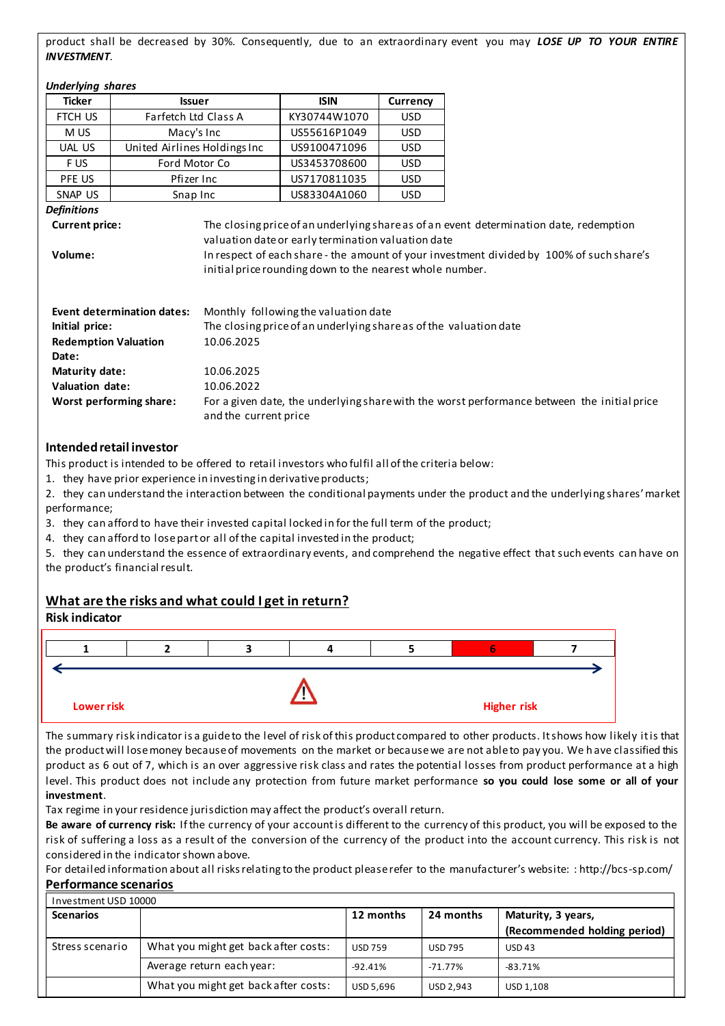product shall be decreased by 30%. Consequently, due to an extraordinary event you may *LOSE UP TO YOUR ENTIRE INVESTMENT*.

| <b>Underlying shares</b> |  |
|--------------------------|--|
|--------------------------|--|

| <b>Ticker</b>                                                                                                                                   | <b>Issuer</b>                |                                                                                                                | <b>ISIN</b>                                                                                               | Currency                                                                                 |  |
|-------------------------------------------------------------------------------------------------------------------------------------------------|------------------------------|----------------------------------------------------------------------------------------------------------------|-----------------------------------------------------------------------------------------------------------|------------------------------------------------------------------------------------------|--|
| FTCH US                                                                                                                                         | Farfetch Ltd Class A         |                                                                                                                | KY30744W1070                                                                                              | <b>USD</b>                                                                               |  |
| M US                                                                                                                                            | Macy's Inc                   |                                                                                                                | US55616P1049                                                                                              | <b>USD</b>                                                                               |  |
| <b>UAL US</b>                                                                                                                                   | United Airlines Holdings Inc |                                                                                                                | US9100471096                                                                                              | <b>USD</b>                                                                               |  |
| F US                                                                                                                                            | Ford Motor Co                |                                                                                                                | US3453708600                                                                                              | <b>USD</b>                                                                               |  |
| PFE US                                                                                                                                          | Pfizer Inc                   |                                                                                                                | US7170811035                                                                                              | USD                                                                                      |  |
| SNAP US                                                                                                                                         | Snap Inc                     |                                                                                                                | US83304A1060                                                                                              | USD                                                                                      |  |
| Definitions                                                                                                                                     |                              |                                                                                                                |                                                                                                           |                                                                                          |  |
| Volume:                                                                                                                                         |                              | valuation date or early termination valuation date<br>initial price rounding down to the nearest whole number. |                                                                                                           | In respect of each share - the amount of your investment divided by 100% of such share's |  |
| Initial price:<br><b>Redemption Valuation</b><br>Date:                                                                                          | Event determination dates:   | 10.06.2025                                                                                                     | Monthly following the valuation date<br>The closing price of an underlying share as of the valuation date |                                                                                          |  |
| Maturity date:<br>10.06.2025                                                                                                                    |                              |                                                                                                                |                                                                                                           |                                                                                          |  |
| <b>Valuation date:</b><br>10.06.2022                                                                                                            |                              |                                                                                                                |                                                                                                           |                                                                                          |  |
| For a given date, the underlying share with the worst performance between the initial price<br>Worst performing share:<br>and the current price |                              |                                                                                                                |                                                                                                           |                                                                                          |  |

1. they have prior experience in investing in derivative products;

2. they can understand the interaction between the conditional payments under the product and the underlying shares' market performance;

3. they can afford to have their invested capital locked in for the full term of the product;

4. they can afford to lose part or all of the capital invested in the product;

5. they can understand the essence of extraordinary events, and comprehend the negative effect that such events can have on the product's financial result.

# **What are the risks and what could I get in return?**

### **Risk indicator**



The summary risk indicator is a guide to the level of risk of this product compared to other products. It shows how likely it is that the product will lose money because of movements on the market or because we are not able to pay you. We h ave classified this product as 6 out of 7, which is an over aggressive risk class and rates the potential losses from product performance at a high level. This product does not include any protection from future market performance **so you could lose some or all of your investment**.

Tax regime in your residence jurisdiction may affect the product's overall return.

**Be aware of currency risk:** If the currency of your account is different to the currency of this product, you will be exposed to the risk of suffering a loss as a result of the conversion of the currency of the product into the account currency. This risk is not considered in the indicator shown above.

For detailed information about all risks relating to the product please refer to the manufacturer's website: : http://bcs-sp.com/ **Performance scenarios**

| Investment USD 10000 |                                      |                |                |                              |
|----------------------|--------------------------------------|----------------|----------------|------------------------------|
| <b>Scenarios</b>     |                                      |                | 24 months      | Maturity, 3 years,           |
|                      |                                      |                |                | (Recommended holding period) |
| Stress scenario      | What you might get back after costs: | <b>USD 759</b> | <b>USD 795</b> | <b>USD 43</b>                |
|                      | Average return each year:            | $-92.41%$      | $-71.77\%$     | $-83.71%$                    |
|                      | What you might get back after costs: | USD 5,696      | USD 2,943      | USD 1,108                    |